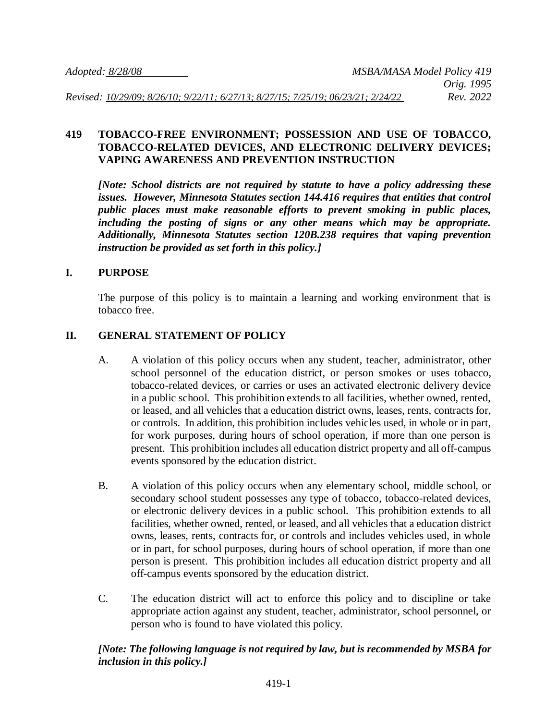#### **419 TOBACCO-FREE ENVIRONMENT; POSSESSION AND USE OF TOBACCO, TOBACCO-RELATED DEVICES, AND ELECTRONIC DELIVERY DEVICES; VAPING AWARENESS AND PREVENTION INSTRUCTION**

*[Note: School districts are not required by statute to have a policy addressing these issues. However, Minnesota Statutes section 144.416 requires that entities that control public places must make reasonable efforts to prevent smoking in public places, including the posting of signs or any other means which may be appropriate. Additionally, Minnesota Statutes section 120B.238 requires that vaping prevention instruction be provided as set forth in this policy.]*

# **I. PURPOSE**

The purpose of this policy is to maintain a learning and working environment that is tobacco free.

# **II. GENERAL STATEMENT OF POLICY**

- A. A violation of this policy occurs when any student, teacher, administrator, other school personnel of the education district, or person smokes or uses tobacco, tobacco-related devices, or carries or uses an activated electronic delivery device in a public school. This prohibition extends to all facilities, whether owned, rented, or leased, and all vehicles that a education district owns, leases, rents, contracts for, or controls. In addition, this prohibition includes vehicles used, in whole or in part, for work purposes, during hours of school operation, if more than one person is present. This prohibition includes all education district property and all off-campus events sponsored by the education district.
- B. A violation of this policy occurs when any elementary school, middle school, or secondary school student possesses any type of tobacco, tobacco-related devices, or electronic delivery devices in a public school. This prohibition extends to all facilities, whether owned, rented, or leased, and all vehicles that a education district owns, leases, rents, contracts for, or controls and includes vehicles used, in whole or in part, for school purposes, during hours of school operation, if more than one person is present. This prohibition includes all education district property and all off-campus events sponsored by the education district.
- C. The education district will act to enforce this policy and to discipline or take appropriate action against any student, teacher, administrator, school personnel, or person who is found to have violated this policy.

# *[Note: The following language is not required by law, but is recommended by MSBA for inclusion in this policy.]*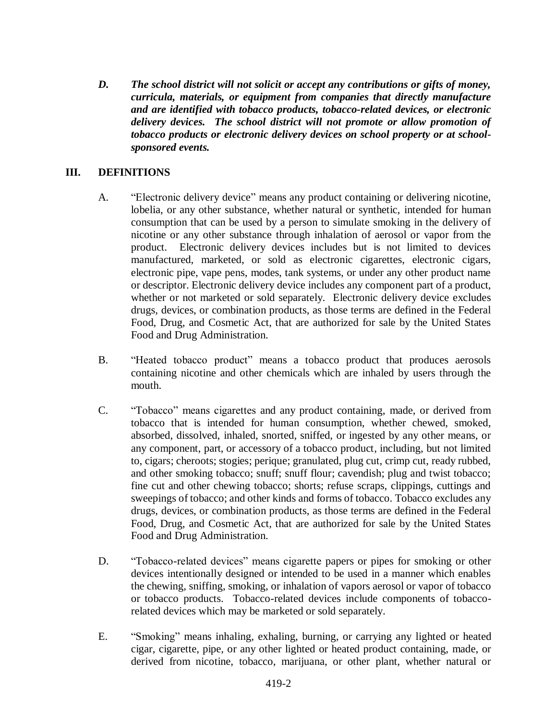*D. The school district will not solicit or accept any contributions or gifts of money, curricula, materials, or equipment from companies that directly manufacture and are identified with tobacco products, tobacco-related devices, or electronic delivery devices. The school district will not promote or allow promotion of tobacco products or electronic delivery devices on school property or at schoolsponsored events.*

#### **III. DEFINITIONS**

- A. "Electronic delivery device" means any product containing or delivering nicotine, lobelia, or any other substance, whether natural or synthetic, intended for human consumption that can be used by a person to simulate smoking in the delivery of nicotine or any other substance through inhalation of aerosol or vapor from the product. Electronic delivery devices includes but is not limited to devices manufactured, marketed, or sold as electronic cigarettes, electronic cigars, electronic pipe, vape pens, modes, tank systems, or under any other product name or descriptor. Electronic delivery device includes any component part of a product, whether or not marketed or sold separately. Electronic delivery device excludes drugs, devices, or combination products, as those terms are defined in the Federal Food, Drug, and Cosmetic Act, that are authorized for sale by the United States Food and Drug Administration.
- B. "Heated tobacco product" means a tobacco product that produces aerosols containing nicotine and other chemicals which are inhaled by users through the mouth.
- C. "Tobacco" means cigarettes and any product containing, made, or derived from tobacco that is intended for human consumption, whether chewed, smoked, absorbed, dissolved, inhaled, snorted, sniffed, or ingested by any other means, or any component, part, or accessory of a tobacco product, including, but not limited to, cigars; cheroots; stogies; perique; granulated, plug cut, crimp cut, ready rubbed, and other smoking tobacco; snuff; snuff flour; cavendish; plug and twist tobacco; fine cut and other chewing tobacco; shorts; refuse scraps, clippings, cuttings and sweepings of tobacco; and other kinds and forms of tobacco. Tobacco excludes any drugs, devices, or combination products, as those terms are defined in the Federal Food, Drug, and Cosmetic Act, that are authorized for sale by the United States Food and Drug Administration.
- D. "Tobacco-related devices" means cigarette papers or pipes for smoking or other devices intentionally designed or intended to be used in a manner which enables the chewing, sniffing, smoking, or inhalation of vapors aerosol or vapor of tobacco or tobacco products. Tobacco-related devices include components of tobaccorelated devices which may be marketed or sold separately.
- E. "Smoking" means inhaling, exhaling, burning, or carrying any lighted or heated cigar, cigarette, pipe, or any other lighted or heated product containing, made, or derived from nicotine, tobacco, marijuana, or other plant, whether natural or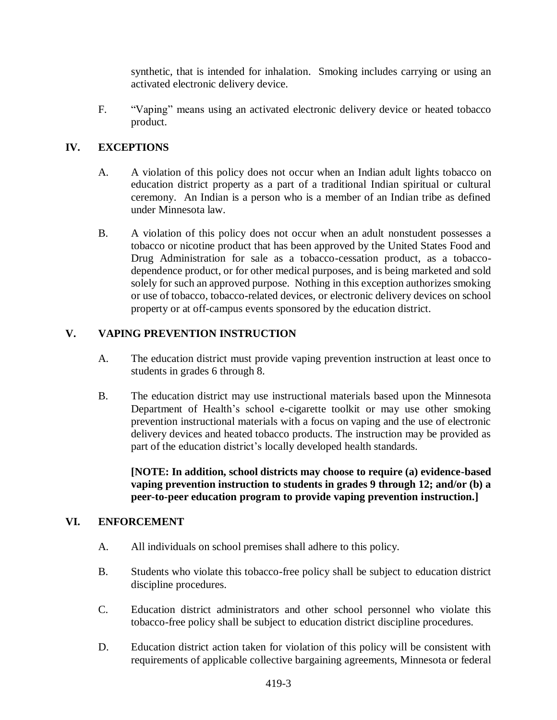synthetic, that is intended for inhalation. Smoking includes carrying or using an activated electronic delivery device.

F. "Vaping" means using an activated electronic delivery device or heated tobacco product.

# **IV. EXCEPTIONS**

- A. A violation of this policy does not occur when an Indian adult lights tobacco on education district property as a part of a traditional Indian spiritual or cultural ceremony. An Indian is a person who is a member of an Indian tribe as defined under Minnesota law.
- B. A violation of this policy does not occur when an adult nonstudent possesses a tobacco or nicotine product that has been approved by the United States Food and Drug Administration for sale as a tobacco-cessation product, as a tobaccodependence product, or for other medical purposes, and is being marketed and sold solely for such an approved purpose. Nothing in this exception authorizes smoking or use of tobacco, tobacco-related devices, or electronic delivery devices on school property or at off-campus events sponsored by the education district.

## **V. VAPING PREVENTION INSTRUCTION**

- A. The education district must provide vaping prevention instruction at least once to students in grades 6 through 8.
- B. The education district may use instructional materials based upon the Minnesota Department of Health's school e-cigarette toolkit or may use other smoking prevention instructional materials with a focus on vaping and the use of electronic delivery devices and heated tobacco products. The instruction may be provided as part of the education district's locally developed health standards.

**[NOTE: In addition, school districts may choose to require (a) evidence-based vaping prevention instruction to students in grades 9 through 12; and/or (b) a peer-to-peer education program to provide vaping prevention instruction.]**

## **VI. ENFORCEMENT**

- A. All individuals on school premises shall adhere to this policy.
- B. Students who violate this tobacco-free policy shall be subject to education district discipline procedures.
- C. Education district administrators and other school personnel who violate this tobacco-free policy shall be subject to education district discipline procedures.
- D. Education district action taken for violation of this policy will be consistent with requirements of applicable collective bargaining agreements, Minnesota or federal